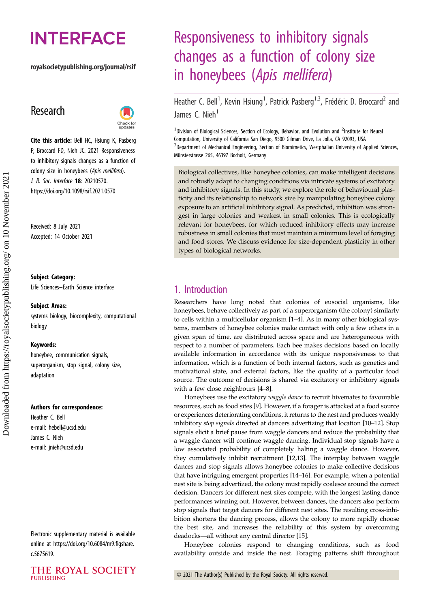# **INTERFACE**

#### royalsocietypublishing.org/journal/rsif

## Research



Cite this article: Bell HC, Hsiung K, Pasberg P, Broccard FD, Nieh JC. 2021 Responsiveness to inhibitory signals changes as a function of colony size in honeybees (Apis mellifera). J. R. Soc. Interface 18: 20210570. https://doi.org/10.1098/rsif.2021.0570

Received: 8 July 2021 Accepted: 14 October 2021

#### Subject Category:

Life Sciences–Earth Science interface

#### Subject Areas:

systems biology, biocomplexity, computational biology

#### Keywords:

honeybee, communication signals, superorganism, stop signal, colony size, adaptation

#### Authors for correspondence:

Heather C. Bell e-mail: [hebell@ucsd.edu](mailto:hebell@ucsd.edu) James C. Nieh e-mail: [jnieh@ucsd.edu](mailto:jnieh@ucsd.edu)

Electronic supplementary material is available online at [https://doi.org/10.6084/m9.figshare.](https://doi.org/10.6084/m9.figshare.c.5675619) [c.5675619.](https://doi.org/10.6084/m9.figshare.c.5675619)

## Responsiveness to inhibitory signals changes as a function of colony size in honeybees (Apis mellifera)

Heather C. Bell<sup>1</sup>, Kevin Hsiung<sup>1</sup>, Patrick Pasberg<sup>1,3</sup>, Frédéric D. Broccard<sup>2</sup> and James C. Nieh<sup>1</sup>

<sup>1</sup>Division of Biological Sciences, Section of Ecology, Behavior, and Evolution and <sup>2</sup>Institute for Neural Computation, University of California San Diego, 9500 Gilman Drive, La Jolla, CA 92093, USA <sup>3</sup>Department of Mechanical Engineering, Section of Biomimetics, Westphalian University of Applied Sciences, Münsterstrasse 265, 46397 Bocholt, Germany

Biological collectives, like honeybee colonies, can make intelligent decisions and robustly adapt to changing conditions via intricate systems of excitatory and inhibitory signals. In this study, we explore the role of behavioural plasticity and its relationship to network size by manipulating honeybee colony exposure to an artificial inhibitory signal. As predicted, inhibition was strongest in large colonies and weakest in small colonies. This is ecologically relevant for honeybees, for which reduced inhibitory effects may increase robustness in small colonies that must maintain a minimum level of foraging and food stores. We discuss evidence for size-dependent plasticity in other types of biological networks.

## 1. Introduction

Researchers have long noted that colonies of eusocial organisms, like honeybees, behave collectively as part of a superorganism (the colony) similarly to cells within a multicellular organism [[1](#page-6-0)–[4](#page-6-0)]. As in many other biological systems, members of honeybee colonies make contact with only a few others in a given span of time, are distributed across space and are heterogeneous with respect to a number of parameters. Each bee makes decisions based on locally available information in accordance with its unique responsiveness to that information, which is a function of both internal factors, such as genetics and motivational state, and external factors, like the quality of a particular food source. The outcome of decisions is shared via excitatory or inhibitory signals with a few close neighbours [\[4](#page-6-0)–[8\]](#page-6-0).

Honeybees use the excitatory waggle dance to recruit hivemates to favourable resources, such as food sites [[9](#page-6-0)]. However, if a forager is attacked at a food source or experiences deteriorating conditions, it returns to the nest and produces weakly inhibitory stop signals directed at dancers advertizing that location [\[10](#page-7-0)–[12](#page-7-0)]. Stop signals elicit a brief pause from waggle dancers and reduce the probability that a waggle dancer will continue waggle dancing. Individual stop signals have a low associated probability of completely halting a waggle dance. However, they cumulatively inhibit recruitment [[12,13](#page-7-0)]. The interplay between waggle dances and stop signals allows honeybee colonies to make collective decisions that have intriguing emergent properties [[14](#page-7-0)–[16\]](#page-7-0). For example, when a potential nest site is being advertized, the colony must rapidly coalesce around the correct decision. Dancers for different nest sites compete, with the longest lasting dance performances winning out. However, between dances, the dancers also perform stop signals that target dancers for different nest sites. The resulting cross-inhibition shortens the dancing process, allows the colony to more rapidly choose the best site, and increases the reliability of this system by overcoming deadocks—all without any central director [\[15](#page-7-0)].

Honeybee colonies respond to changing conditions, such as food availability outside and inside the nest. Foraging patterns shift throughout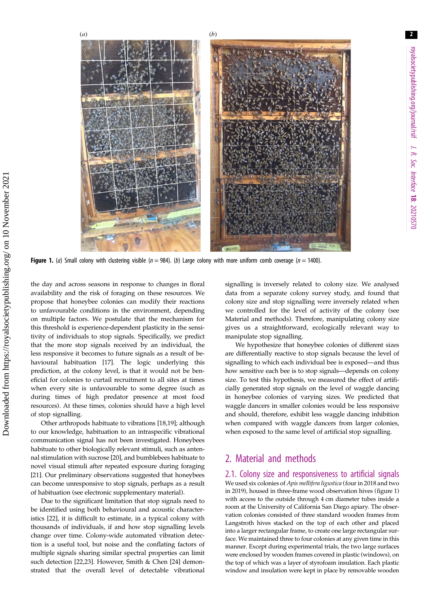2

<span id="page-1-0"></span>

Figure 1. (a) Small colony with clustering visible ( $n = 984$ ). (b) Large colony with more uniform comb coverage ( $n = 1400$ ).

the day and across seasons in response to changes in floral availability and the risk of foraging on these resources. We propose that honeybee colonies can modify their reactions to unfavourable conditions in the environment, depending on multiple factors. We postulate that the mechanism for this threshold is experience-dependent plasticity in the sensitivity of individuals to stop signals. Specifically, we predict that the more stop signals received by an individual, the less responsive it becomes to future signals as a result of behavioural habituation [[17\]](#page-7-0). The logic underlying this prediction, at the colony level, is that it would not be beneficial for colonies to curtail recruitment to all sites at times when every site is unfavourable to some degree (such as during times of high predator presence at most food resources). At these times, colonies should have a high level of stop signalling.

Other arthropods habituate to vibrations [[18,19\]](#page-7-0); although to our knowledge, habituation to an intraspecific vibrational communication signal has not been investigated. Honeybees habituate to other biologically relevant stimuli, such as antennal stimulation with sucrose [\[20\]](#page-7-0), and bumblebees habituate to novel visual stimuli after repeated exposure during foraging [\[21](#page-7-0)]. Our preliminary observations suggested that honeybees can become unresponsive to stop signals, perhaps as a result of habituation (see electronic supplementary material).

Due to the significant limitation that stop signals need to be identified using both behavioural and acoustic characteristics [[22\]](#page-7-0), it is difficult to estimate, in a typical colony with thousands of individuals, if and how stop signalling levels change over time. Colony-wide automated vibration detection is a useful tool, but noise and the conflating factors of multiple signals sharing similar spectral properties can limit such detection [[22,23](#page-7-0)]. However, Smith & Chen [\[24](#page-7-0)] demonstrated that the overall level of detectable vibrational signalling is inversely related to colony size. We analysed data from a separate colony survey study, and found that colony size and stop signalling were inversely related when we controlled for the level of activity of the colony (see Material and methods). Therefore, manipulating colony size gives us a straightforward, ecologically relevant way to manipulate stop signalling.

We hypothesize that honeybee colonies of different sizes are differentially reactive to stop signals because the level of signalling to which each individual bee is exposed—and thus how sensitive each bee is to stop signals—depends on colony size. To test this hypothesis, we measured the effect of artificially generated stop signals on the level of waggle dancing in honeybee colonies of varying sizes. We predicted that waggle dancers in smaller colonies would be less responsive and should, therefore, exhibit less waggle dancing inhibition when compared with waggle dancers from larger colonies, when exposed to the same level of artificial stop signalling.

## 2. Material and methods

#### 2.1. Colony size and responsiveness to artificial signals

We used six colonies of Apis mellifera ligustica (four in 2018 and two in 2019), housed in three-frame wood observation hives (figure 1) with access to the outside through 4 cm diameter tubes inside a room at the University of California San Diego apiary. The observation colonies consisted of three standard wooden frames from Langstroth hives stacked on the top of each other and placed into a larger rectangular frame, to create one large rectangular surface. We maintained three to four colonies at any given time in this manner. Except during experimental trials, the two large surfaces were enclosed by wooden frames covered in plastic (windows), on the top of which was a layer of styrofoam insulation. Each plastic window and insulation were kept in place by removable wooden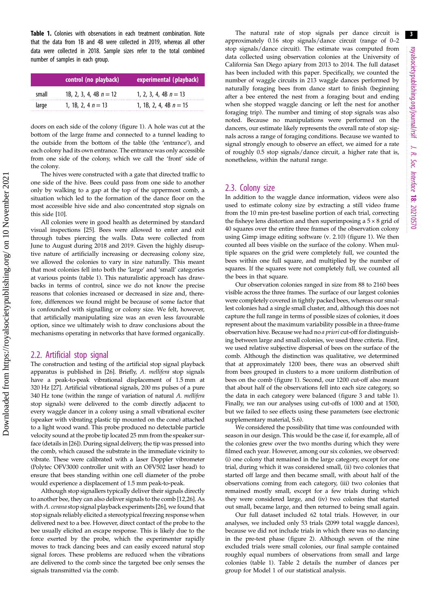<span id="page-2-0"></span>

|       | control (no playback)    | experimental (playback)  |  |  |
|-------|--------------------------|--------------------------|--|--|
| small | 1B, 2, 3, 4, 4B $n = 12$ | 1, 2, 3, 4, 4B $n = 13$  |  |  |
| large | 1, 1B, 2, 4 $n = 13$     | 1, 1B, 2, 4, 4B $n = 15$ |  |  |

doors on each side of the colony [\(figure 1](#page-1-0)). A hole was cut at the bottom of the large frame and connected to a tunnel leading to the outside from the bottom of the table (the 'entrance'), and each colony had its own entrance. The entrance was only accessible from one side of the colony, which we call the 'front' side of the colony.

The hives were constructed with a gate that directed traffic to one side of the hive. Bees could pass from one side to another only by walking to a gap at the top of the uppermost comb, a situation which led to the formation of the dance floor on the most accessible hive side and also concentrated stop signals on this side [[10](#page-7-0)].

All colonies were in good health as determined by standard visual inspections [[25](#page-7-0)]. Bees were allowed to enter and exit through tubes piercing the walls. Data were collected from June to August during 2018 and 2019. Given the highly disruptive nature of artificially increasing or decreasing colony size, we allowed the colonies to vary in size naturally. This meant that most colonies fell into both the 'large' and 'small' categories at various points (table 1). This naturalistic approach has drawbacks in terms of control, since we do not know the precise reasons that colonies increased or decreased in size and, therefore, differences we found might be because of some factor that is confounded with signalling or colony size. We felt, however, that artificially manipulating size was an even less favourable option, since we ultimately wish to draw conclusions about the mechanisms operating in networks that have formed organically.

#### 2.2. Artificial stop signal

The construction and testing of the artificial stop signal playback apparatus is published in [\[26\]](#page-7-0). Briefly, A. mellifera stop signals have a peak-to-peak vibrational displacement of 1.5 mm at 320 Hz [[27\]](#page-7-0). Artificial vibrational signals, 200 ms pulses of a pure 340 Hz tone (within the range of variation of natural A. mellifera stop signals) were delivered to the comb directly adjacent to every waggle dancer in a colony using a small vibrational exciter (speaker with vibrating plastic tip mounted on the cone) attached to a light wood wand. This probe produced no detectable particle velocity sound at the probe tip located 25 mm from the speaker surface (details in [\[26](#page-7-0)]). During signal delivery, the tip was pressed into the comb, which caused the substrate in the immediate vicinity to vibrate. These were calibrated with a laser Doppler vibrometer (Polytec OFV3000 controller unit with an OFV502 laser head) to ensure that bees standing within one cell diameter of the probe would experience a displacement of 1.5 mm peak-to-peak.

Although stop signallers typically deliver their signals directly to another bee, they can also deliver signals to the comb [[12,26\]](#page-7-0). As with A. cerana stop signal playback experiments [\[26\]](#page-7-0), we found that stop signals reliably elicited a stereotypical freezing response when delivered next to a bee. However, direct contact of the probe to the bee usually elicited an escape response. This is likely due to the force exerted by the probe, which the experimenter rapidly moves to track dancing bees and can easily exceed natural stop signal forces. These problems are reduced when the vibrations are delivered to the comb since the targeted bee only senses the signals transmitted via the comb.

The natural rate of stop signals per dance circuit is approximately 0.16 stop signals/dance circuit (range of 0–2 stop signals/dance circuit). The estimate was computed from data collected using observation colonies at the University of California San Diego apiary from 2013 to 2014. The full dataset has been included with this paper. Specifically, we counted the number of waggle circuits in 213 waggle dances performed by naturally foraging bees from dance start to finish (beginning after a bee entered the nest from a foraging bout and ending when she stopped waggle dancing or left the nest for another foraging trip). The number and timing of stop signals was also noted. Because no manipulations were performed on the dancers, our estimate likely represents the overall rate of stop signals across a range of foraging conditions. Because we wanted to signal strongly enough to observe an effect, we aimed for a rate of roughly 0.5 stop signals/dance circuit, a higher rate that is, nonetheless, within the natural range.

#### 2.3. Colony size

In addition to the waggle dance information, videos were also used to estimate colony size by extracting a still video frame from the 10 min pre-test baseline portion of each trial, correcting the fisheye lens distortion and then superimposing a  $5 \times 8$  grid of 40 squares over the entire three frames of the observation colony using Gimp image editing software (v. 2.10) [\(figure 1\)](#page-1-0). We then counted all bees visible on the surface of the colony. When multiple squares on the grid were completely full, we counted the bees within one full square, and multiplied by the number of squares. If the squares were not completely full, we counted all the bees in that square.

Our observation colonies ranged in size from 88 to 2160 bees visible across the three frames. The surface of our largest colonies were completely covered in tightly packed bees, whereas our smallest colonies had a single small cluster, and, although this does not capture the full range in terms of possible sizes of colonies, it does represent about the maximum variability possible in a three-frame observation hive. Because we had no a priori cut-off for distinguishing between large and small colonies, we used three criteria. First, we used relative subjective dispersal of bees on the surface of the comb. Although the distinction was qualitative, we determined that at approximately 1200 bees, there was an observed shift from bees grouped in clusters to a more uniform distribution of bees on the comb ([figure 1\)](#page-1-0). Second, our 1200 cut-off also meant that about half of the observations fell into each size category, so the data in each category were balanced ([figure 3](#page-4-0) and table 1). Finally, we ran our analyses using cut-offs of 1000 and at 1500, but we failed to see effects using these parameters (see electronic supplementary material, S.6).

We considered the possibility that time was confounded with season in our design. This would be the case if, for example, all of the colonies grew over the two months during which they were filmed each year. However, among our six colonies, we observed: (i) one colony that remained in the large category, except for one trial, during which it was considered small, (ii) two colonies that started off large and then became small, with about half of the observations coming from each category, (iii) two colonies that remained mostly small, except for a few trials during which they were considered large, and (iv) two colonies that started out small, became large, and then returned to being small again.

Our full dataset included 62 total trials. However, in our analyses, we included only 53 trials (2099 total waggle dances), because we did not include trials in which there was no dancing in the pre-test phase [\(figure 2\)](#page-3-0). Although seven of the nine excluded trials were small colonies, our final sample contained roughly equal numbers of observations from small and large colonies (table 1). [Table 2](#page-4-0) details the number of dances per group for Model 1 of our statistical analysis.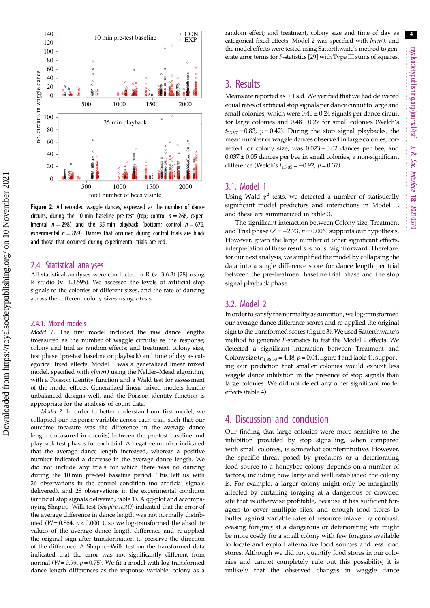<span id="page-3-0"></span>

Figure 2. All recorded waggle dances, expressed as the number of dance circuits, during the 10 min baseline pre-test (top; control  $n = 266$ , experimental  $n = 298$ ) and the 35 min playback (bottom; control  $n = 676$ , experimental  $n = 859$ ). Dances that occurred during control trials are black and those that occurred during experimental trials are red.

#### 2.4. Statistical analyses

All statistical analyses were conducted in R (v. 3.6.3) [[28](#page-7-0)] using R studio (v. 1.3.595). We assessed the levels of artificial stop signals to the colonies of different sizes, and the rate of dancing across the different colony sizes using t-tests.

#### 2.4.1. Mixed models

Model 1. The first model included the raw dance lengths (measured as the number of waggle circuits) as the response; colony and trial as random effects; and treatment, colony size, test phase (pre-test baseline or playback) and time of day as categorical fixed effects. Model 1 was a generalized linear mixed model, specified with glmer() using the Nelder-Mead algorithm, with a Poisson identity function and a Wald test for assessment of the model effects. Generalized linear mixed models handle unbalanced designs well, and the Poisson identity function is appropriate for the analysis of count data.

Model 2. In order to better understand our first model, we collapsed our response variable across each trial, such that our outcome measure was the difference in the average dance length (measured in circuits) between the pre-test baseline and playback test phases for each trial. A negative number indicated that the average dance length increased, whereas a positive number indicated a decrease in the average dance length. We did not include any trials for which there was no dancing during the 10 min pre-test baseline period. This left us with 26 observations in the control condition (no artificial signals delivered), and 28 observations in the experimental condition (artificial stop signals delivered, [table 1\)](#page-2-0). A qq-plot and accompanying Shapiro–Wilk test (shapiro.test()) indicated that the error of the average difference in dance length was not normally distributed ( $W = 0.864$ ,  $p < 0.0001$ ), so we log-transformed the absolute values of the average dance length difference and re-applied the original sign after transformation to preserve the direction of the difference. A Shapiro–Wilk test on the transformed data indicated that the error was not significantly different from normal ( $W = 0.99$ ,  $p = 0.75$ ). We fit a model with log-transformed dance length differences as the response variable; colony as a random effect; and treatment, colony size and time of day as categorical fixed effects. Model 2 was specified with lmer(), and the model effects were tested using Satterthwaite's method to generate error terms for F-statistics [\[29\]](#page-7-0) with Type III sums of squares.

## 3. Results

Means are reported as ±1 s.d. We verified that we had delivered equal rates of artificial stop signals per dance circuit to large and small colonies, which were  $0.40 \pm 0.24$  signals per dance circuit for large colonies and  $0.48 \pm 0.27$  for small colonies (Welch's  $t_{23.97} = 0.83$ ,  $p = 0.42$ ). During the stop signal playbacks, the mean number of waggle dances observed in large colonies, corrected for colony size, was  $0.023 \pm 0.02$  dances per bee, and  $0.037 \pm 0.05$  dances per bee in small colonies, a non-significant difference (Welch's  $t_{15.85} = -0.92$ ,  $p = 0.37$ ).

#### 3.1. Model 1

Using Wald  $\chi^2$  tests, we detected a number of statistically significant model predictors and interactions in Model 1, and these are summarized in [table 3.](#page-5-0)

The significant interaction between Colony size, Treatment and Trial phase  $(Z = -2.73, p = 0.006)$  supports our hypothesis. However, given the large number of other significant effects, interpretation of these results is not straightforward. Therefore, for our next analysis, we simplified the model by collapsing the data into a single difference score for dance length per trial between the pre-treatment baseline trial phase and the stop signal playback phase.

#### 3.2. Model 2

In order to satisfy the normality assumption, we log-transformed our average dance difference scores and re-applied the original sign to the transformed scores [\(figure 3](#page-4-0)).We used Satterthwaite's method to generate F-statistics to test the Model 2 effects. We detected a significant interaction between Treatment and Colony size  $(F_{1,38.53} = 4.48, p = 0.04,$  [figure 4](#page-5-0) and [table 4](#page-6-0)), supporting our prediction that smaller colonies would exhibit less waggle dance inhibition in the presence of stop signals than large colonies. We did not detect any other significant model effects ([table 4\)](#page-6-0).

## 4. Discussion and conclusion

Our finding that large colonies were more sensitive to the inhibition provided by stop signalling, when compared with small colonies, is somewhat counterintuitive. However, the specific threat posed by predators or a deteriorating food source to a honeybee colony depends on a number of factors, including how large and well established the colony is. For example, a larger colony might only be marginally affected by curtailing foraging at a dangerous or crowded site that is otherwise profitable, because it has sufficient foragers to cover multiple sites, and enough food stores to buffer against variable rates of resource intake. By contrast, ceasing foraging at a dangerous or deteriorating site might be more costly for a small colony with few foragers available to locate and exploit alternative food sources and less food stores. Although we did not quantify food stores in our colonies and cannot completely rule out this possibility, it is unlikely that the observed changes in waggle dance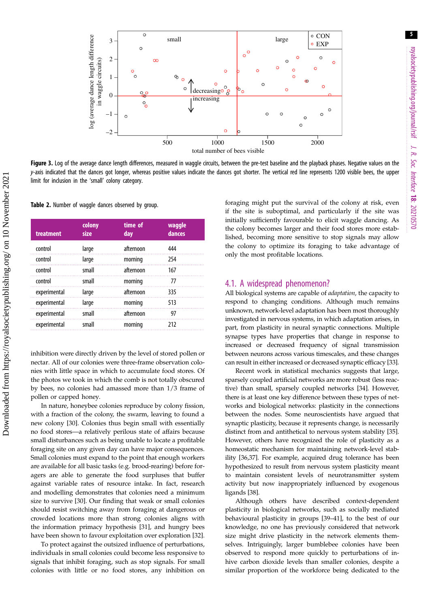5

<span id="page-4-0"></span>

Figure 3. Log of the average dance length differences, measured in waggle circuits, between the pre-test baseline and the playback phases. Negative values on the y-axis indicated that the dances got longer, whereas positive values indicate the dances got shorter. The vertical red line represents 1200 visible bees, the upper limit for inclusion in the 'small' colony category.

Table 2. Number of waggle dances observed by group.

| treatment    | colony<br>size | time of<br>day | waggle<br>dances |
|--------------|----------------|----------------|------------------|
| control      | large          | afternoon      | 444              |
| control      | large          | morning        | 254              |
| control      | small          | afternoon      | 167              |
| control      | small          | morning        | 77               |
| experimental | large          | afternoon      | 335              |
| experimental | large          | morning        | 513              |
| experimental | small          | afternoon      | 97               |
| experimental | small          | morning        | 212              |

inhibition were directly driven by the level of stored pollen or nectar. All of our colonies were three-frame observation colonies with little space in which to accumulate food stores. Of the photos we took in which the comb is not totally obscured by bees, no colonies had amassed more than 1/3 frame of pollen or capped honey.

In nature, honeybee colonies reproduce by colony fission, with a fraction of the colony, the swarm, leaving to found a new colony [\[30](#page-7-0)]. Colonies thus begin small with essentially no food stores—a relatively perilous state of affairs because small disturbances such as being unable to locate a profitable foraging site on any given day can have major consequences. Small colonies must expand to the point that enough workers are available for all basic tasks (e.g. brood-rearing) before foragers are able to generate the food surpluses that buffer against variable rates of resource intake. In fact, research and modelling demonstrates that colonies need a minimum size to survive [\[30](#page-7-0)]. Our finding that weak or small colonies should resist switching away from foraging at dangerous or crowded locations more than strong colonies aligns with the information primacy hypothesis [[31\]](#page-7-0), and hungry bees have been shown to favour exploitation over exploration [\[32](#page-7-0)].

To protect against the outsized influence of perturbations, individuals in small colonies could become less responsive to signals that inhibit foraging, such as stop signals. For small colonies with little or no food stores, any inhibition on foraging might put the survival of the colony at risk, even if the site is suboptimal, and particularly if the site was initially sufficiently favourable to elicit waggle dancing. As the colony becomes larger and their food stores more established, becoming more sensitive to stop signals may allow the colony to optimize its foraging to take advantage of only the most profitable locations.

#### 4.1. A widespread phenomenon?

All biological systems are capable of adaptation, the capacity to respond to changing conditions. Although much remains unknown, network-level adaptation has been most thoroughly investigated in nervous systems, in which adaptation arises, in part, from plasticity in neural synaptic connections. Multiple synapse types have properties that change in response to increased or decreased frequency of signal transmission between neurons across various timescales, and these changes can result in either increased or decreased synaptic efficacy [[33\]](#page-7-0).

Recent work in statistical mechanics suggests that large, sparsely coupled artificial networks are more robust (less reactive) than small, sparsely coupled networks [\[34](#page-7-0)]. However, there is at least one key difference between these types of networks and biological networks: plasticity in the connections between the nodes. Some neuroscientists have argued that synaptic plasticity, because it represents change, is necessarily distinct from and antithetical to nervous system stability [[35\]](#page-7-0). However, others have recognized the role of plasticity as a homeostatic mechanism for maintaining network-level stability [[36,37\]](#page-7-0). For example, acquired drug tolerance has been hypothesized to result from nervous system plasticity meant to maintain consistent levels of neurotransmitter system activity but now inappropriately influenced by exogenous ligands [[38\]](#page-7-0).

Although others have described context-dependent plasticity in biological networks, such as socially mediated behavioural plasticity in groups [\[39](#page-7-0)–[41\]](#page-7-0), to the best of our knowledge, no one has previously considered that network size might drive plasticity in the network elements themselves. Intriguingly, larger bumblebee colonies have been observed to respond more quickly to perturbations of inhive carbon dioxide levels than smaller colonies, despite a similar proportion of the workforce being dedicated to the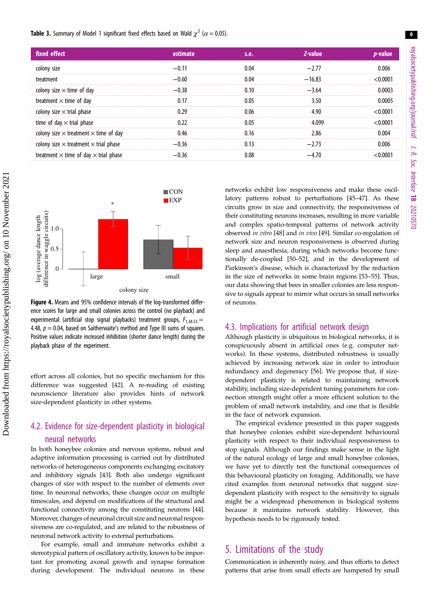<span id="page-5-0"></span>**Table 3.** Summary of Model 1 significant fixed effects based on Wald  $\chi^2$  ( $\alpha$  = 0.05).

| fixed effect                                        |       | s.e.  | Z-value  |  |
|-----------------------------------------------------|-------|-------|----------|--|
| colony size                                         |       | በ በ4  |          |  |
| treatment                                           | —Ი ᲠᲘ | በ በ4  | $-16.83$ |  |
| colony size $\times$ time of day                    | । २८  | າ າດ  | $-364$   |  |
| treatment $\times$ time of day                      |       |       |          |  |
| colony size $\times$ trial phase                    |       | ) ()6 |          |  |
| time of day $\times$ trial phase                    |       |       |          |  |
| colony size $\times$ treatment $\times$ time of day |       |       |          |  |
| colony size $\times$ treatment $\times$ trial phase |       |       |          |  |
| treatment $\times$ time of day $\times$ trial phase |       |       |          |  |



Figure 4. Means and 95% confidence intervals of the log-transformed difference scores for large and small colonies across the control (no playback) and experimental (artificial stop signal playbacks) treatment groups,  $F_{1,38,53} =$ 4.48,  $p = 0.04$ , based on Saitherwaite's method and Type III sums of squares. Positive values indicate increased inhibition (shorter dance length) during the playback phase of the experiment.

effort across all colonies, but no specific mechanism for this difference was suggested [\[42](#page-7-0)]. A re-reading of existing neuroscience literature also provides hints of network size-dependent plasticity in other systems.

## 4.2. Evidence for size-dependent plasticity in biological neural networks

In both honeybee colonies and nervous systems, robust and adaptive information processing is carried out by distributed networks of heterogeneous components exchanging excitatory and inhibitory signals [\[43](#page-7-0)]. Both also undergo significant changes of size with respect to the number of elements over time. In neuronal networks, these changes occur on multiple timescales, and depend on modifications of the structural and functional connectivity among the constituting neurons [[44](#page-7-0)]. Moreover, changes of neuronal circuit size and neuronal responsiveness are co-regulated, and are related to the robustness of neuronal network activity to external perturbations.

For example, small and immature networks exhibit a stereotypical pattern of oscillatory activity, known to be important for promoting axonal growth and synapse formation during development. The individual neurons in these networks exhibit low responsiveness and make these oscillatory patterns robust to perturbations [\[45](#page-7-0)–[47\]](#page-7-0). As these circuits grow in size and connectivity, the responsiveness of their constituting neurons increases, resulting in more variable and complex spatio-temporal patterns of network activity observed in vitro [\[48](#page-7-0)] and in vivo [\[49](#page-7-0)]. Similar co-regulation of network size and neuron responsiveness is observed during sleep and anaesthesia, during which networks become functionally de-coupled [[50](#page-7-0)–[52\]](#page-7-0), and in the development of Parkinson's disease, which is characterized by the reduction in the size of networks in some brain regions [\[53](#page-7-0)–[55\]](#page-7-0). Thus, our data showing that bees in smaller colonies are less responsive to signals appear to mirror what occurs in small networks of neurons.

#### 4.3. Implications for artificial network design

Although plasticity is ubiquitous in biological networks, it is conspicuously absent in artificial ones (e.g. computer networks). In these systems, distributed robustness is usually achieved by increasing network size in order to introduce redundancy and degeneracy [[56\]](#page-7-0). We propose that, if sizedependent plasticity is related to maintaining network stability, including size-dependent tuning parameters for connection strength might offer a more efficient solution to the problem of small network instability, and one that is flexible in the face of network expansion.

The empirical evidence presented in this paper suggests that honeybee colonies exhibit size-dependent behavioural plasticity with respect to their individual responsiveness to stop signals. Although our findings make sense in the light of the natural ecology of large and small honeybee colonies, we have yet to directly test the functional consequences of this behavioural plasticity on foraging. Additionally, we have cited examples from neuronal networks that suggest sizedependent plasticity with respect to the sensitivity to signals might be a widespread phenomenon in biological systems because it maintains network stability. However, this hypothesis needs to be rigorously tested.

## 5. Limitations of the study

Communication is inherently noisy, and thus efforts to detect patterns that arise from small effects are hampered by small royalsocietypublishing.org/journal/rsif

J. R.Soc.

Interface

18: 20210570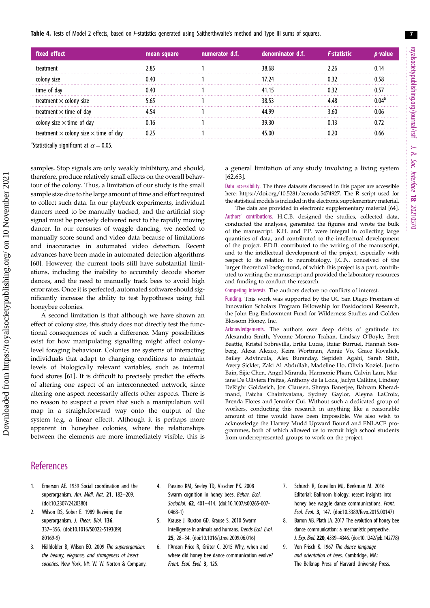<span id="page-6-0"></span>Table 4. Tests of Model 2 effects, based on F-statistics generated using Saitherthwaite's method and Type III sums of squares.

| fixed effect                                      | mean square | numerator d.f. | denominator d.f. |  |
|---------------------------------------------------|-------------|----------------|------------------|--|
|                                                   |             |                |                  |  |
| .                                                 |             |                |                  |  |
|                                                   |             |                |                  |  |
| treatment $\times$ colony size                    |             |                |                  |  |
| treatment $\times$ time of day                    |             |                |                  |  |
| colony size $\times$ time of day                  |             |                |                  |  |
| $^\cdot$ colony size $\times$ time of dav<br>trea |             |                |                  |  |

<sup>a</sup>Statistically significant at  $\alpha$  = 0.05.

samples. Stop signals are only weakly inhibitory, and should, therefore, produce relatively small effects on the overall behaviour of the colony. Thus, a limitation of our study is the small sample size due to the large amount of time and effort required to collect such data. In our playback experiments, individual dancers need to be manually tracked, and the artificial stop signal must be precisely delivered next to the rapidly moving dancer. In our censuses of waggle dancing, we needed to manually score sound and video data because of limitations and inaccuracies in automated video detection. Recent advances have been made in automated detection algorithms [\[60](#page-8-0)]. However, the current tools still have substantial limitations, including the inability to accurately decode shorter dances, and the need to manually track bees to avoid high error rates. Once it is perfected, automated software should significantly increase the ability to test hypotheses using full honeybee colonies.

A second limitation is that although we have shown an effect of colony size, this study does not directly test the functional consequences of such a difference. Many possibilities exist for how manipulating signalling might affect colonylevel foraging behaviour. Colonies are systems of interacting individuals that adapt to changing conditions to maintain levels of biologically relevant variables, such as internal food stores [[61\]](#page-8-0). It is difficult to precisely predict the effects of altering one aspect of an interconnected network, since altering one aspect necessarily affects other aspects. There is no reason to suspect a priori that such a manipulation will map in a straightforward way onto the output of the system (e.g. a linear effect). Although it is perhaps more apparent in honeybee colonies, where the relationships between the elements are more immediately visible, this is a general limitation of any study involving a living system [[62,63\]](#page-8-0).

Data accessibility. The three datasets discussed in this paper are accessible here: [https://doi.org/10.5281/zenodo.5474927.](https://doi.org/10.5281/zenodo.5474927) The R script used for the statistical models is included in the electronic supplementary material.

The data are provided in electronic supplementary material [\[64](#page-8-0)]. Authors' contributions. H.C.B. designed the studies, collected data, conducted the analyses, generated the figures and wrote the bulk of the manuscript. K.H. and P.P. were integral in collecting large quantities of data, and contributed to the intellectual development of the project. F.D.B. contributed to the writing of the manuscript, and to the intellectual development of the project, especially with respect to its relation to neurobiology. J.C.N. conceived of the larger theoretical background, of which this project is a part, contributed to writing the manuscript and provided the laboratory resources and funding to conduct the research.

Competing interests. The authors declare no conflicts of interest.

Funding. This work was supported by the UC San Diego Frontiers of Innovation Scholars Program Fellowship for Postdoctoral Research, the John Eng Endowment Fund for Wilderness Studies and Golden Blossom Honey, Inc.

Acknowledgements. The authors owe deep debts of gratitude to: Alexandra Smith, Yvonne Moreno Trahan, Lindsay O'Boyle, Brett Beattie, Kristel Sobrevilla, Erika Lucas, Itziar Burruel, Hannah Sonberg, Alexa Alezco, Keira Wortman, Annie Vo, Grace Kovalick, Bailey Advincula, Alex Buranday, Sepideh Agahi, Sarah Stith, Avery Sickler, Zaki Al Abdullah, Madeline Ho, Olivia Koziel, Justin Bain, Sijie Chen, Angel Miranda, Harmonie Pham, Calvin Lam, Mariane De Oliviera Freitas, Anthony de la Loza, Jaclyn Calkins, Lindsay DeRight Goldasich, Jon Clausen, Shreya Banerjee, Bahram Kheradmand, Patcha Chainiwatana, Sydney Gaylor, Aleyna LaCroix, Brenda Flores and Jennifer Cui. Without such a dedicated group of workers, conducting this research in anything like a reasonable amount of time would have been impossible. We also wish to acknowledge the Harvey Mudd Upward Bound and ENLACE programmes, both of which allowed us to recruit high school students from underrepresented groups to work on the project.

- 1. Emerson AE. 1939 Social coordination and the superorganism. Am. Midl. Nat. 21, 182-209. [\(doi:10.2307/2420380\)](http://dx.doi.org/10.2307/2420380)
- 2. Wilson DS, Sober E. 1989 Reviving the superorganism. J. Theor. Biol. 136, 337–356. ([doi:10.1016/S0022-5193\(89\)](http://dx.doi.org/10.1016/S0022-5193(89)80169-9) [80169-9\)](http://dx.doi.org/10.1016/S0022-5193(89)80169-9)
- 3. Hölldobler B, Wilson EO. 2009 The superorganism: the beauty, elegance, and strangeness of insect societies. New York, NY: W. W. Norton & Company.
- 4. Passino KM, Seeley TD, Visscher PK. 2008 Swarm cognition in honey bees. Behav. Ecol. Sociobiol. 62, 401–414. ([doi:10.1007/s00265-007-](http://dx.doi.org/10.1007/s00265-007-0468-1) [0468-1](http://dx.doi.org/10.1007/s00265-007-0468-1))
- 5. Krause J, Ruxton GD, Krause S. 2010 Swarm intelligence in animals and humans. Trends Ecol. Evol. 25, 28–34. ([doi:10.1016/j.tree.2009.06.016](http://dx.doi.org/10.1016/j.tree.2009.06.016))
- 6. I'Anson Price R, Grüter C. 2015 Why, when and where did honey bee dance communication evolve? Front. Ecol. Evol. 3, 125.
- 7. Schürch R, Couvillon MJ, Beekman M. 2016 Editorial: Ballroom biology: recent insights into honey bee waggle dance communications. Front. Ecol. Evol. 3, 147. ([doi:10.3389/fevo.2015.00147\)](http://dx.doi.org/10.3389/fevo.2015.00147)
- 8. Barron AB, Plath JA. 2017 The evolution of honey bee dance communication: a mechanistic perspective. J. Exp. Biol. 220, 4339–4346. ([doi:10.1242/jeb.142778](http://dx.doi.org/10.1242/jeb.142778))
- 9. Von Frisch K. 1967 The dance language and orientation of bees. Cambridge, MA: The Belknap Press of Harvard University Press.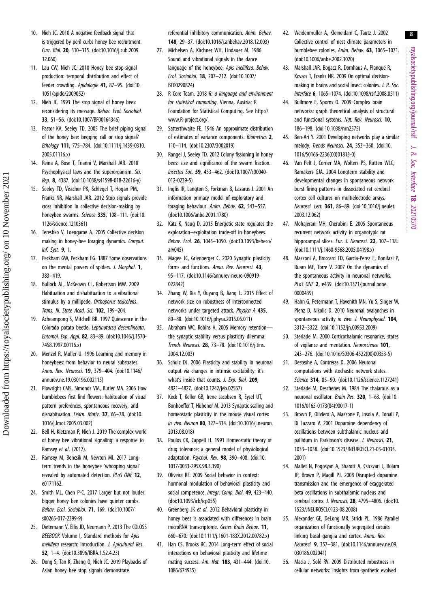royalsocietypublishing.org/journal/rsif royalsocietypublishing.org/journal/rsif J. R. Soc. Interface 18: 20210570

8

- <span id="page-7-0"></span>10. Nieh JC. 2010 A negative feedback signal that is triggered by peril curbs honey bee recruitment. Curr. Biol. 20, 310–315. ([doi:10.1016/j.cub.2009.](http://dx.doi.org/10.1016/j.cub.2009.12.060) [12.060](http://dx.doi.org/10.1016/j.cub.2009.12.060))
- 11. Lau CW, Nieh JC. 2010 Honey bee stop-signal production: temporal distribution and effect of feeder crowding. Apidologie 41, 87–95. [\(doi:10.](http://dx.doi.org/10.1051/apido/2009052) [1051/apido/2009052](http://dx.doi.org/10.1051/apido/2009052))
- 12. Nieh JC. 1993 The stop signal of honey bees: reconsidering its message. Behav. Ecol. Sociobiol. 33, 51–56. [\(doi:10.1007/BF00164346\)](http://dx.doi.org/10.1007/BF00164346)
- 13. Pastor KA, Seeley TD. 2005 The brief piping signal of the honey bee: begging call or stop signal? Ethology 111, 775–784. ([doi:10.1111/j.1439-0310.](http://dx.doi.org/10.1111/j.1439-0310.2005.01116.x) [2005.01116.x\)](http://dx.doi.org/10.1111/j.1439-0310.2005.01116.x)
- 14. Reina A, Bose T, Trianni V, Marshall JAR. 2018 Psychophysical laws and the superorganism. Sci. Rep. 8, 4387. [\(doi:10.1038/s41598-018-22616-y\)](http://dx.doi.org/10.1038/s41598-018-22616-y)
- 15. Seeley TD, Visscher PK, Schlegel T, Hogan PM, Franks NR, Marshall JAR. 2012 Stop signals provide cross inhibition in collective decision-making by honeybee swarms. Science 335, 108-111. ([doi:10.](http://dx.doi.org/10.1126/science.1210361) [1126/science.1210361\)](http://dx.doi.org/10.1126/science.1210361)
- 16. Tereshko V, Loengarov A. 2005 Collective decision making in honey-bee foraging dynamics. Comput. Inf. Syst. 9, 1.
- 17. Peckham GW, Peckham EG. 1887 Some observations on the mental powers of spiders. J. Morphol. 1, 383–419.
- 18. Bullock AL, McKeown CL, Robertson MW. 2009 Habituation and dishabituation to a vibrational stimulus by a millipede, Orthoporus texicolens. Trans. Ill. State Acad. Sci. 102, 199-204.
- 19. Acheampong S, Mitchell BK. 1997 Quiescence in the Colorado potato beetle, Leptinotarsa decemlineata. Entomol. Exp. Appl. 82, 83–89. [\(doi:10.1046/j.1570-](http://dx.doi.org/10.1046/j.1570-7458.1997.00116.x) [7458.1997.00116.x](http://dx.doi.org/10.1046/j.1570-7458.1997.00116.x))
- 20. Menzel R, Muller U. 1996 Learning and memory in honeybees: from behavior to neural substrates. Annu. Rev. Neurosci. 19, 379–404. ([doi:10.1146/](http://dx.doi.org/10.1146/annurev.ne.19.030196.002115) [annurev.ne.19.030196.002115\)](http://dx.doi.org/10.1146/annurev.ne.19.030196.002115)
- 21. Plowright CMS, Simonds VM, Butler MA. 2006 How bumblebees first find flowers: habituation of visual pattern preferences, spontaneous recovery, and dishabituation. Learn. Motiv. 37, 66–78. ([doi:10.](http://dx.doi.org/10.1016/j.lmot.2005.03.002) [1016/j.lmot.2005.03.002\)](http://dx.doi.org/10.1016/j.lmot.2005.03.002)
- 22. Bell H, Kietzman P, Nieh J. 2019 The complex world of honey bee vibrational signaling: a response to Ramsey et al. (2017).
- 23. Ramsey M, Bencsik M, Newton MI. 2017 Longterm trends in the honeybee 'whooping signal' revealed by automated detection. PLoS ONE 12. e0171162
- 24. Smith ML, Chen P-C. 2017 Larger but not louder: bigger honey bee colonies have quieter combs. Behav. Ecol. Sociobiol. 71, 169. ([doi:10.1007/](http://dx.doi.org/10.1007/s00265-017-2399-9) [s00265-017-2399-9\)](http://dx.doi.org/10.1007/s00265-017-2399-9)
- 25. Dietemann V, Ellis JD, Neumann P. 2013 The COLOSS BEEBOOK Volume I, Standard methods for Apis mellifera research: introduction. J. Apicultural Res. 52, 1–4. [\(doi:10.3896/IBRA.1.52.4.23\)](http://dx.doi.org/10.3896/IBRA.1.52.4.23)
- 26. Dong S, Tan K, Zhang Q, Nieh JC. 2019 Playbacks of Asian honey bee stop signals demonstrate

referential inhibitory communication. Anim. Behav. 148, 29–37. ([doi:10.1016/j.anbehav.2018.12.003](http://dx.doi.org/10.1016/j.anbehav.2018.12.003))

- 27. Michelsen A, Kirchner WH, Lindauer M. 1986 Sound and vibrational signals in the dance language of the honeybee, Apis mellifera. Behav. Ecol. Sociobiol. 18, 207–212. [\(doi:10.1007/](http://dx.doi.org/10.1007/BF00290824) [BF00290824\)](http://dx.doi.org/10.1007/BF00290824)
- 28. R Core Team. 2018 R: a language and environment for statistical computing. Vienna, Austria: R Foundation for Statistical Computing. See [http://](http://www.R-project.org/) [www.R-project.org/.](http://www.R-project.org/)
- 29. Satterthwaite FE. 1946 An approximate distribution of estimates of variance components. Biometrics 2, 110–114. ([doi:10.2307/3002019\)](http://dx.doi.org/10.2307/3002019)
- 30. Rangel J, Seeley TD. 2012 Colony fissioning in honey bees: size and significance of the swarm fraction. Insectes Soc. 59, 453–462. [\(doi:10.1007/s00040-](http://dx.doi.org/10.1007/s00040-012-0239-5) [012-0239-5\)](http://dx.doi.org/10.1007/s00040-012-0239-5)
- 31. Inglis IR, Langton S, Forkman B, Lazarus J. 2001 An information primacy model of exploratory and foraging behaviour. Anim. Behav. 62, 543–557. [\(doi:10.1006/anbe.2001.1780\)](http://dx.doi.org/10.1006/anbe.2001.1780)
- 32. Katz K, Naug D. 2015 Energetic state regulates the exploration–exploitation trade-off in honeybees. Behav. Ecol. 26, 1045–1050. ([doi:10.1093/beheco/](http://dx.doi.org/10.1093/beheco/arv045)  $an(045)$
- 33. Magee JC, Grienberger C. 2020 Synaptic plasticity forms and functions. Annu. Rev. Neurosci. 43, 95–117. [\(doi:10.1146/annurev-neuro-090919-](http://dx.doi.org/10.1146/annurev-neuro-090919-022842) [022842](http://dx.doi.org/10.1146/annurev-neuro-090919-022842))
- 34. Zhang W, Xia Y, Ouyang B, Jiang L. 2015 Effect of network size on robustness of interconnected networks under targeted attack. Physica A 435, 80–88. ([doi:10.1016/j.physa.2015.05.011\)](http://dx.doi.org/10.1016/j.physa.2015.05.011)
- 35. Abraham WC, Robins A. 2005 Memory retention the synaptic stability versus plasticity dilemma. Trends Neurosci. 28, 73–78. [\(doi:10.1016/j.tins.](http://dx.doi.org/10.1016/j.tins.2004.12.003) [2004.12.003\)](http://dx.doi.org/10.1016/j.tins.2004.12.003)
- 36. Schulz DJ. 2006 Plasticity and stability in neuronal output via changes in intrinsic excitability: it's what's inside that counts. J. Exp. Biol. 209. 4821–4827. [\(doi:10.1242/jeb.02567\)](http://dx.doi.org/10.1242/jeb.02567)
- 37. Keck T, Keller GB, Irene Jacobsen R, Eysel UT, Bonhoeffer T, Hübener M. 2013 Synaptic scaling and homeostatic plasticity in the mouse visual cortex in vivo. Neuron 80, 327–334. [\(doi:10.1016/j.neuron.](http://dx.doi.org/10.1016/j.neuron.2013.08.018) [2013.08.018\)](http://dx.doi.org/10.1016/j.neuron.2013.08.018)
- 38. Poulos CX, Cappell H. 1991 Homeostatic theory of drug tolerance: a general model of physiological adaptation. Psychol. Rev. 98, 390–408. [\(doi:10.](http://dx.doi.org/10.1037/0033-295X.98.3.390) [1037/0033-295X.98.3.390\)](http://dx.doi.org/10.1037/0033-295X.98.3.390)
- 39. Oliveira RF. 2009 Social behavior in context: hormonal modulation of behavioral plasticity and social competence. Integr. Comp. Biol. 49, 423-440. [\(doi:10.1093/icb/icp055\)](http://dx.doi.org/10.1093/icb/icp055)
- 40. Greenberg JK et al. 2012 Behavioral plasticity in honey bees is associated with differences in brain microRNA transcriptome. Genes Brain Behav. 11, 660–670. ([doi:10.1111/j.1601-183X.2012.00782.x](http://dx.doi.org/10.1111/j.1601-183X.2012.00782.x))
- 41. Han CS, Brooks RC. 2014 Long-term effect of social interactions on behavioral plasticity and lifetime mating success. Am. Nat. 183, 431–444. ([doi:10.](http://dx.doi.org/10.1086/674935) [1086/674935](http://dx.doi.org/10.1086/674935))
- 42. Weidenmüller A, Kleineidam C, Tautz J. 2002 Collective control of nest climate parameters in bumblebee colonies. Anim. Behav. 63, 1065–1071. ([doi:10.1006/anbe.2002.3020](http://dx.doi.org/10.1006/anbe.2002.3020))
- 43. Marshall JAR, Bogacz R, Dornhaus A, Planqué R, Kovacs T, Franks NR. 2009 On optimal decisionmaking in brains and social insect colonies. J. R. Soc. Interface 6, 1065–1074. [\(doi:10.1098/rsif.2008.0511](http://dx.doi.org/10.1098/rsif.2008.0511))
- 44. Bullmore E, Sporns O. 2009 Complex brain networks: graph theoretical analysis of structural and functional systems. Nat. Rev. Neurosci. 10, 186–198. [\(doi:10.1038/nrn2575\)](http://dx.doi.org/10.1038/nrn2575)
- 45. Ben-Ari Y. 2001 Developing networks play a similar melody. Trends Neurosci. 24, 353–360. ([doi:10.](http://dx.doi.org/10.1016/S0166-2236(00)01813-0) [1016/S0166-2236\(00\)01813-0](http://dx.doi.org/10.1016/S0166-2236(00)01813-0))
- 46. Van Pelt J, Corner MA, Wolters PS, Rutten WLC, Ramakers GJA. 2004 Longterm stability and developmental changes in spontaneous network burst firing patterns in dissociated rat cerebral cortex cell cultures on multielectrode arrays. Neurosci. Lett. 361, 86–89. ([doi:10.1016/j.neulet.](http://dx.doi.org/10.1016/j.neulet.2003.12.062) [2003.12.062](http://dx.doi.org/10.1016/j.neulet.2003.12.062))
- 47. Mohajerani MH, Cherubini E. 2005 Spontaneous recurrent network activity in organotypic rat hippocampal slices. Eur. J. Neurosci. 22, 107-118. ([doi:10.1111/j.1460-9568.2005.04198.x\)](http://dx.doi.org/10.1111/j.1460-9568.2005.04198.x)
- 48. Mazzoni A, Broccard FD, Garcia-Perez E, Bonifazi P, Ruaro ME, Torre V. 2007 On the dynamics of the spontaneous activity in neuronal networks. PLoS ONE 2, e439. ([doi:10.1371/journal.pone.](http://dx.doi.org/10.1371/journal.pone.0000439) [0000439](http://dx.doi.org/10.1371/journal.pone.0000439))
- 49. Hahn G, Petermann T, Havenith MN, Yu S, Singer W, Plenz D, Nikolic D. 2010 Neuronal avalanches in spontaneous activity in vivo. J. Neurophysiol. 104, 3312–3322. [\(doi:10.1152/jn.00953.2009\)](http://dx.doi.org/10.1152/jn.00953.2009)
- 50. Steriade M. 2000 Corticothalamic resonance, states of vigilance and mentation. Neuroscience 101, 243–276. [\(doi:10.1016/S0306-4522\(00\)00353-5](http://dx.doi.org/10.1016/S0306-4522(00)00353-5))
- 51. Destexhe A, Contreras D. 2006 Neuronal computations with stochastic network states. Science 314, 85–90. ([doi:10.1126/science.1127241\)](http://dx.doi.org/10.1126/science.1127241)
- 52. Steriade M, Deschenes M. 1984 The thalamus as a neuronal oscillator. Brain Res. 320, 1–63. ([doi:10.](http://dx.doi.org/10.1016/0165-0173(84)90017-1) [1016/0165-0173\(84\)90017-1](http://dx.doi.org/10.1016/0165-0173(84)90017-1))
- 53. Brown P, Oliviero A, Mazzone P, Insola A, Tonali P, Di Lazzaro V. 2001 Dopamine dependency of oscillations between subthalamic nucleus and pallidum in Parkinson's disease. J. Neurosci. 21, 1033–1038. [\(doi:10.1523/JNEUROSCI.21-03-01033.](http://dx.doi.org/10.1523/JNEUROSCI.21-03-01033.2001) [2001](http://dx.doi.org/10.1523/JNEUROSCI.21-03-01033.2001))
- 54. Mallet N, Pogosyan A, Sharott A, Csicsvari J, Bolam JP, Brown P, Magill PJ. 2008 Disrupted dopamine transmission and the emergence of exaggerated beta oscillations in subthalamic nucleus and cerebral cortex. J. Neurosci. 28, 4795-4806. [\(doi:10.](http://dx.doi.org/10.1523/JNEUROSCI.0123-08.2008) [1523/JNEUROSCI.0123-08.2008](http://dx.doi.org/10.1523/JNEUROSCI.0123-08.2008))
- 55. Alexander GE, DeLong MR, Strick PL. 1986 Parallel organization of functionally segregated circuits linking basal ganglia and cortex. Annu. Rev. Neurosci. 9, 357–381. ([doi:10.1146/annurev.ne.09.](http://dx.doi.org/10.1146/annurev.ne.09.030186.002041) [030186.002041\)](http://dx.doi.org/10.1146/annurev.ne.09.030186.002041)
- 56. Macia J, Solé RV. 2009 Distributed robustness in cellular networks: insights from synthetic evolved